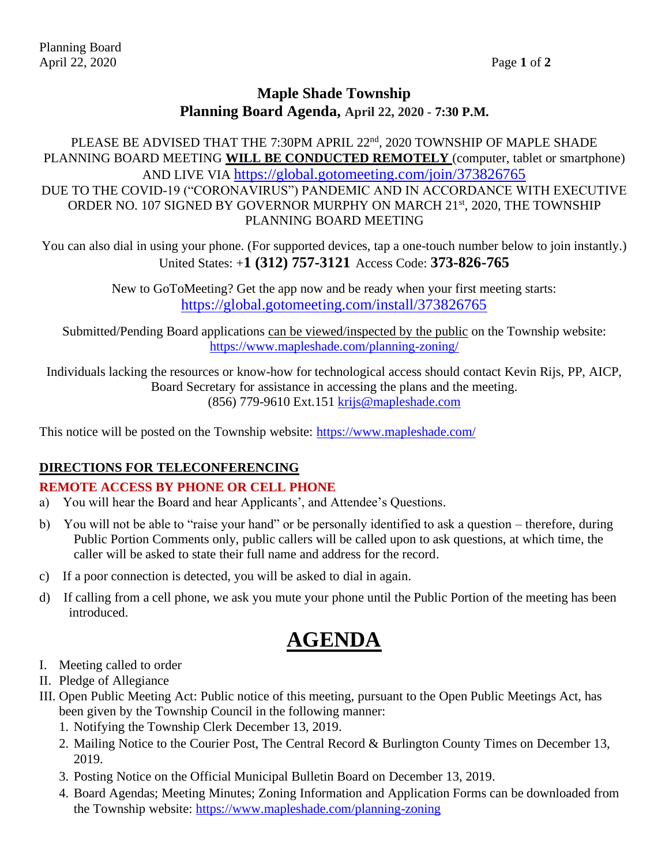# **Maple Shade Township Planning Board Agenda, April 22, 2020 - 7:30 P.M.**

PLEASE BE ADVISED THAT THE 7:30PM APRIL 22<sup>nd</sup>, 2020 TOWNSHIP OF MAPLE SHADE PLANNING BOARD MEETING **WILL BE CONDUCTED REMOTELY** (computer, tablet or smartphone) AND LIVE VIA <https://global.gotomeeting.com/join/373826765> DUE TO THE COVID-19 ("CORONAVIRUS") PANDEMIC AND IN ACCORDANCE WITH EXECUTIVE ORDER NO. 107 SIGNED BY GOVERNOR MURPHY ON MARCH 21<sup>st</sup>, 2020, THE TOWNSHIP PLANNING BOARD MEETING

You can also dial in using your phone. (For supported devices, tap a one-touch number below to join instantly.) United States: +**1 (312) 757-3121** Access Code: **373-826-765**

> New to GoToMeeting? Get the app now and be ready when your first meeting starts: <https://global.gotomeeting.com/install/373826765>

Submitted/Pending Board applications can be viewed/inspected by the public on the Township website: <https://www.mapleshade.com/planning-zoning/>

Individuals lacking the resources or know-how for technological access should contact Kevin Rijs, PP, AICP, Board Secretary for assistance in accessing the plans and the meeting. (856) 779-9610 Ext.151 [krijs@mapleshade.com](mailto:krijs@mapleshade.com)

This notice will be posted on the Township website:<https://www.mapleshade.com/>

## **DIRECTIONS FOR TELECONFERENCING**

## **REMOTE ACCESS BY PHONE OR CELL PHONE**

- a) You will hear the Board and hear Applicants', and Attendee's Questions.
- b) You will not be able to "raise your hand" or be personally identified to ask a question therefore, during Public Portion Comments only, public callers will be called upon to ask questions, at which time, the caller will be asked to state their full name and address for the record.
- c) If a poor connection is detected, you will be asked to dial in again.
- d) If calling from a cell phone, we ask you mute your phone until the Public Portion of the meeting has been introduced.

# **AGENDA**

- I. Meeting called to order
- II. Pledge of Allegiance
- III. Open Public Meeting Act: Public notice of this meeting, pursuant to the Open Public Meetings Act, has been given by the Township Council in the following manner:
	- 1. Notifying the Township Clerk December 13, 2019.
	- 2. Mailing Notice to the Courier Post, The Central Record & Burlington County Times on December 13, 2019.
	- 3. Posting Notice on the Official Municipal Bulletin Board on December 13, 2019.
	- 4. Board Agendas; Meeting Minutes; Zoning Information and Application Forms can be downloaded from the Township website:<https://www.mapleshade.com/planning-zoning>